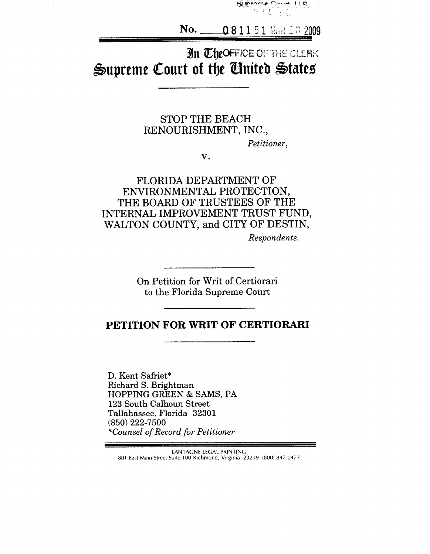

**No,**  $-0.8$   $1$   $1$   $5$   $1$  mar  $1$   $3$   $2009$ 

# In TheOFFICE OF THE CLERK Supreme Court of the United States

# **STOP THE BEACH RENOURISHMENT, INC.,**

*Petitioner,*

*V.*

# **FLORIDA DEPARTMENT OF ENVIRONMENTAL PROTECTION, THE BOARD OF TRUSTEES OF THE INTERNAL IMPROVEMENT TRUST FUND, WALTON COUNTY, and CITY OF DESTIN,**

*Respondents.*

On Petition for Writ of Certiorari to the Florida Supreme Court

# **PETITION FOR WRIT OF CERTIORARI**

D. Kent Safriet\* Richard S. Brightman **HOPPING GREEN** & SAMS, PA 123 South Calhoun Street Tallahassee, Florida 32301 (850) 222-7500 *\*Counsel of Record for Petitioner*

**LANTAGNE LEGAL PRINTING** 801 East Main Street Suite 100 Richmond, Virginia 23219 (800) 847-0477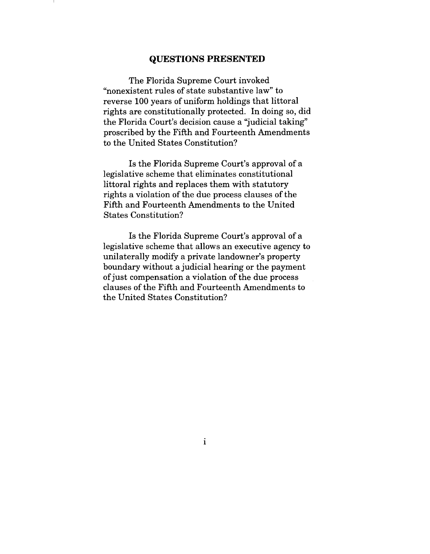### **QUESTIONS PRESENTED**

The Florida Supreme Court invoked "nonexistent rules of state substantive law" to reverse 100 years of uniform holdings that littoral rights are constitutionally protected. In doing so, did the Florida Court's decision cause a "judicial taking" proscribed by the Fifth and Fourteenth Amendments to the United States Constitution?

Is the Florida Supreme Court's approval of a legislative scheme that eliminates constitutional littoral rights and replaces them with statutory rights a violation of the due process clauses of the Fifth and Fourteenth Amendments to the United States Constitution?

Is the Florida Supreme Court's approval of a legislative scheme that allows an executive agency to unilaterally modify a private landowner's property boundary without a judicial hearing or the payment of just compensation a violation of the due process clauses of the Fifth and Fourteenth Amendments to the United States Constitution?

 $\mathbf{i}$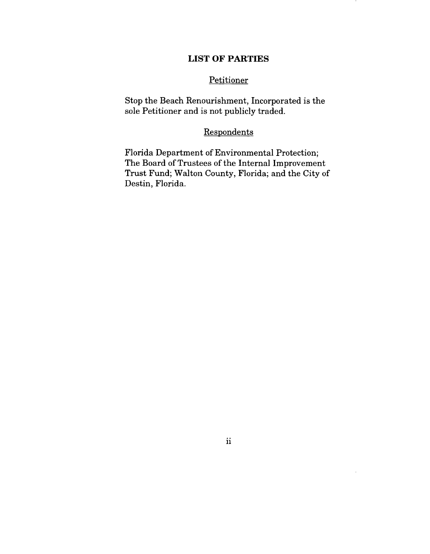### **LIST OF PARTIES**

### **Petitioner**

Stop the Beach Renourishment, Incorporated is the sole Petitioner and is not publicly traded.

## **Respondents**

Florida Department of Environmental Protection; The Board of Trustees of the Internal Improvement Trust Fund; Walton County, Florida; and the City of Destin, Florida.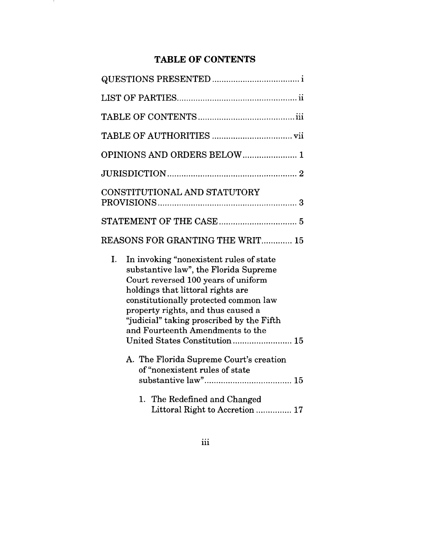# **TABLE OF CONTENTS**

14 L

| OPINIONS AND ORDERS BELOW 1                                                                                                                                                                                                                                                                                                                                         |
|---------------------------------------------------------------------------------------------------------------------------------------------------------------------------------------------------------------------------------------------------------------------------------------------------------------------------------------------------------------------|
|                                                                                                                                                                                                                                                                                                                                                                     |
| CONSTITUTIONAL AND STATUTORY                                                                                                                                                                                                                                                                                                                                        |
|                                                                                                                                                                                                                                                                                                                                                                     |
| <b>REASONS FOR GRANTING THE WRIT 15</b>                                                                                                                                                                                                                                                                                                                             |
| I.<br>In invoking "nonexistent rules of state<br>substantive law", the Florida Supreme<br>Court reversed 100 years of uniform<br>holdings that littoral rights are<br>constitutionally protected common law<br>property rights, and thus caused a<br>"judicial" taking proscribed by the Fifth<br>and Fourteenth Amendments to the<br>United States Constitution 15 |
| A. The Florida Supreme Court's creation<br>of "nonexistent rules of state                                                                                                                                                                                                                                                                                           |
| 1. The Redefined and Changed<br>Littoral Right to Accretion  17                                                                                                                                                                                                                                                                                                     |

iii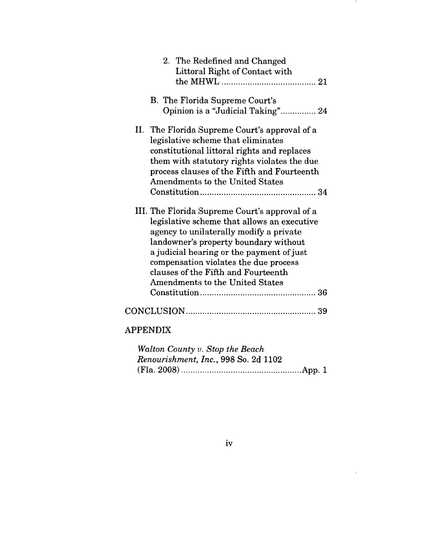| 2. The Redefined and Changed<br>Littoral Right of Contact with                                                                                                                                                                                                                                                                                           |
|----------------------------------------------------------------------------------------------------------------------------------------------------------------------------------------------------------------------------------------------------------------------------------------------------------------------------------------------------------|
| B. The Florida Supreme Court's<br>Opinion is a "Judicial Taking" 24                                                                                                                                                                                                                                                                                      |
| II. The Florida Supreme Court's approval of a<br>legislative scheme that eliminates<br>constitutional littoral rights and replaces<br>them with statutory rights violates the due<br>process clauses of the Fifth and Fourteenth<br>Amendments to the United States                                                                                      |
| III. The Florida Supreme Court's approval of a<br>legislative scheme that allows an executive<br>agency to unilaterally modify a private<br>landowner's property boundary without<br>a judicial hearing or the payment of just<br>compensation violates the due process<br>clauses of the Fifth and Fourteenth<br><b>Amendments to the United States</b> |
|                                                                                                                                                                                                                                                                                                                                                          |
| <b>APPENDIX</b>                                                                                                                                                                                                                                                                                                                                          |
| $W_n$ lton Country $C_{n}$                                                                                                                                                                                                                                                                                                                               |

- 11

 $\hat{\mathcal{L}}_{\text{max}}$ 

| Walton County v. Stop the Beach      |
|--------------------------------------|
| Renourishment, Inc., 998 So. 2d 1102 |
|                                      |

iv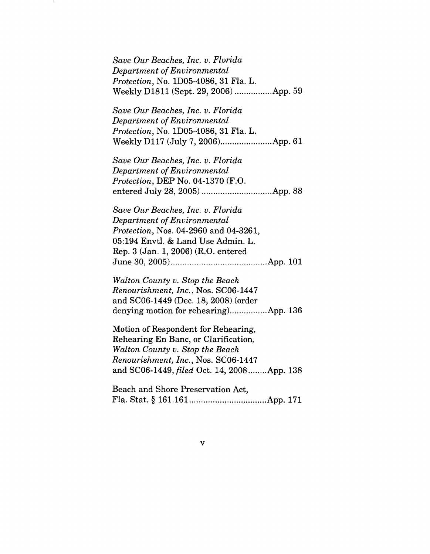| Save Our Beaches, Inc. v. Florida             |
|-----------------------------------------------|
| Department of Environmental                   |
| <i>Protection</i> , No. 1D05-4086, 31 Fla. L. |
| Weekly D1811 (Sept. 29, 2006) App. 59         |

*Save Our Beaches, Inc. v. Florida Department of Environmental Protection,* No. 1D05-4086, 31 Fla. L. Weekly Dl17 (July 7, 2006) ......................App. 61

*Save Our Beaches, Inc. v. Florida Department of Environmental Protection,* DEP No. 04-1370 (F.O. entered July 28, 2005) ..............................App. 88

*Save Our Beaches, Inc. v. Florida Department of Environmental Protection,* Nos. 04-2960 and 04-3261, 05:194 Envtl. & Land Use Admin. L. Rep. 3 (Jan. 1, 2006) (R.O. entered June 30, 2005) .........................................App. 101

*Walton County v. Stop the Beach Renourishment, Inc.,* Nos. SC06-1447 and SC06-1449 (Dec. 18, 2008) (order denying motion for rehearing..................App. 136

Motion of Respondent for Rehearing, Rehearing En Banc, or Clarification, *Walton County v. Stop the Beach Renourishment, Inc.,* Nos. SC06-1447 and SC06-1449, *filed* Oct. 14, 2008 ........ App. 138

Beach and Shore Preservation Act, Fla. Stat. § 161.161 .................................App. 171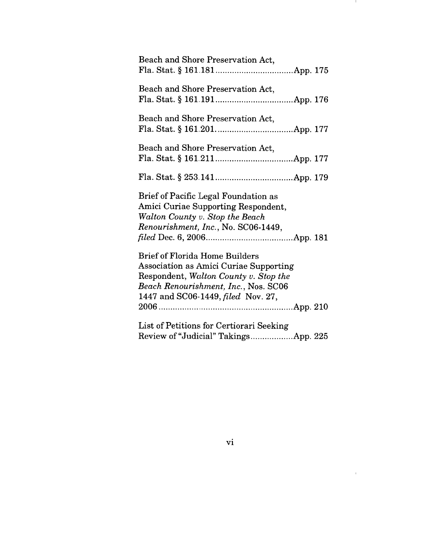| Beach and Shore Preservation Act,                                                                                                                                                                                    |
|----------------------------------------------------------------------------------------------------------------------------------------------------------------------------------------------------------------------|
| Beach and Shore Preservation Act,                                                                                                                                                                                    |
| Beach and Shore Preservation Act,                                                                                                                                                                                    |
| Beach and Shore Preservation Act,                                                                                                                                                                                    |
|                                                                                                                                                                                                                      |
| Brief of Pacific Legal Foundation as<br>Amici Curiae Supporting Respondent,<br>Walton County v. Stop the Beach<br>Renourishment, Inc., No. SC06-1449,                                                                |
| <b>Brief of Florida Home Builders</b><br><b>Association as Amici Curiae Supporting</b><br>Respondent, Walton County v. Stop the<br>Beach Renourishment, Inc., Nos. SC06<br>1447 and SC06-1449, <i>filed</i> Nov. 27, |
|                                                                                                                                                                                                                      |
| List of Petitions for Certiorari Seeking<br>Review of "Judicial" TakingsApp. 225                                                                                                                                     |

 $\mathbb{R}^n$ 

 $\mathcal{L}^{\text{max}}_{\text{max}}$  and  $\mathcal{L}^{\text{max}}_{\text{max}}$ 

vi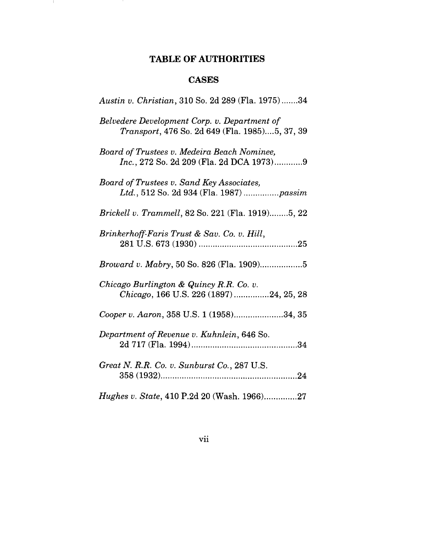# **TABLE OF AUTHORITIES**

 $\mathbf{I}$ 

# **CASES**

| Austin v. Christian, 310 So. 2d 289 (Fla. 1975)34                                              |
|------------------------------------------------------------------------------------------------|
| Belvedere Development Corp. v. Department of<br>Transport, 476 So. 2d 649 (Fla. 1985)5, 37, 39 |
| Board of Trustees v. Medeira Beach Nominee,<br>Inc., 272 So. 2d 209 (Fla. 2d DCA 1973)9        |
| Board of Trustees v. Sand Key Associates,<br>Ltd., 512 So. 2d 934 (Fla. 1987) passim           |
| Brickell v. Trammell, 82 So. 221 (Fla. 1919)5, 22                                              |
| Brinkerhoff-Faris Trust & Sav. Co. v. Hill,                                                    |
|                                                                                                |
| Chicago Burlington & Quincy R.R. Co. v.<br>Chicago, 166 U.S. 226 (1897)24, 25, 28              |
| Cooper v. Aaron, 358 U.S. 1 (1958)34, 35                                                       |
| Department of Revenue v. Kuhnlein, 646 So.                                                     |
| Great N. R.R. Co. v. Sunburst Co., 287 U.S.                                                    |
| Hughes v. State, 410 P.2d 20 (Wash. 1966)27                                                    |

vii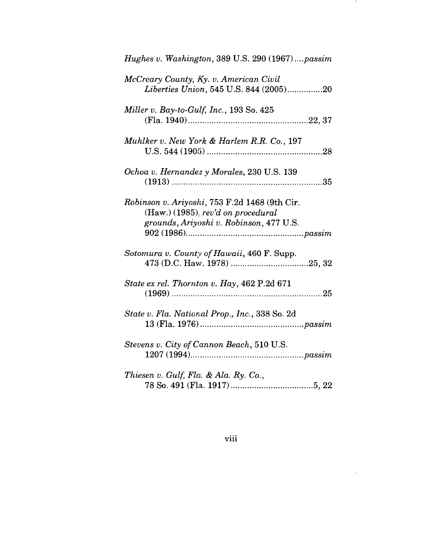| Hughes v. Washington, 389 U.S. 290 (1967)passim                                                                                  |
|----------------------------------------------------------------------------------------------------------------------------------|
| McCreary County, Ky. v. American Civil<br>Liberties Union, 545 U.S. 844 (2005)20                                                 |
| Miller v. Bay-to-Gulf, Inc., $193$ So. $425$                                                                                     |
| Muhlker v. New York & Harlem R.R. Co., 197                                                                                       |
| Ochoa v. Hernandez y Morales, 230 U.S. 139                                                                                       |
| Robinson v. Ariyoshi, 753 F.2d 1468 (9th Cir.<br>$(Haw.)$ (1985), rev'd on procedural<br>grounds, Ariyoshi v. Robinson, 477 U.S. |
| Sotomura v. County of Hawaii, 460 F. Supp.                                                                                       |
| State ex rel. Thornton v. Hay, 462 P.2d 671                                                                                      |
| State v. Fla. National Prop., Inc., 338 So. 2d                                                                                   |
| Stevens v. City of Cannon Beach, 510 U.S.                                                                                        |
| Thiesen v. Gulf, Fla. & Ala. Ry. Co.,                                                                                            |

**A** 

 $\mathcal{L}^{\text{max}}_{\text{max}}$ 

viii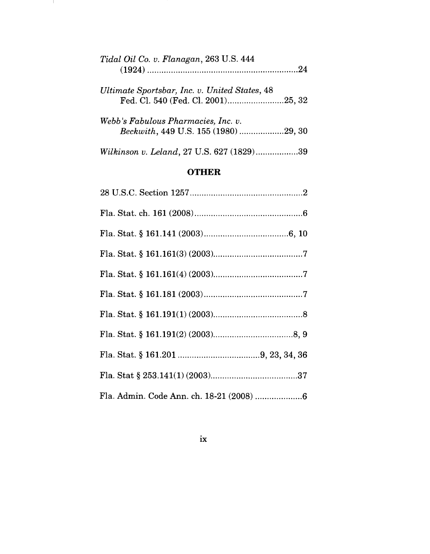| Tidal Oil Co. v. Flanagan, 263 U.S. 444                                             |  |
|-------------------------------------------------------------------------------------|--|
| Ultimate Sportsbar, Inc. v. United States, 48<br>Fed. Cl. 540 (Fed. Cl. 2001)25, 32 |  |
| Webb's Fabulous Pharmacies, Inc. v.<br>Beckwith, 449 U.S. 155 (1980) 29, 30         |  |
| Wilkinson v. Leland, 27 U.S. 627 (1829)39                                           |  |

 $\mathbf{1}$ 

# **OTHER**

ix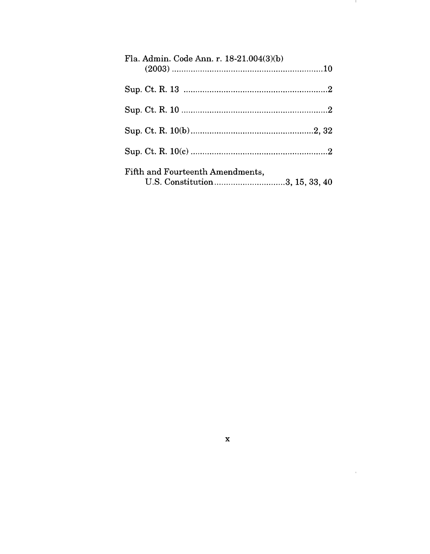| Fla. Admin. Code Ann. r. 18-21.004(3)(b)                           |  |
|--------------------------------------------------------------------|--|
|                                                                    |  |
|                                                                    |  |
|                                                                    |  |
|                                                                    |  |
| Fifth and Fourteenth Amendments,<br>U.S. Constitution3, 15, 33, 40 |  |

**A** 

 $\label{eq:1} \mathcal{A} = \mathcal{A} \mathcal{A} + \mathcal{A} \mathcal{A}$ 

 $\mathbf x$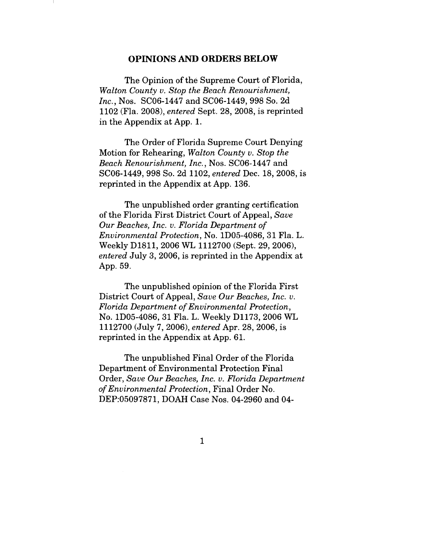### **OPINIONS AND ORDERS BELOW**

The Opinion of the Supreme Court of Florida, *Walton County v. Stop the Beach Renourishment, Inc.,* Nos. SC06-1447 and SC06-1449, 998 So. 2d 1102 (Fla. 2008), *entered* Sept. 28, 2008, is reprinted in the Appendix at App. 1.

The Order of Florida Supreme Court Denying Motion for Rehearing, *Walton County v. Stop the Beach Renourishment, Inc.,* Nos. SC06-1447 and SC06-1449, 998 So. 2d 1102, *entered* Dec. 18, 2008, is reprinted in the Appendix at App. 136.

The unpublished order granting certification of the Florida First District Court of Appeal, *Save Our Beaches, Inc. v. Florida Department of Environmental Protection,* No. 1D05-4086, 31 Fla. L. Weekly D1811, 2006 WL 1112700 (Sept. 29, 2006), *entered* July 3, 2006, is reprinted in the Appendix at App. 59.

The unpublished opinion of the Florida First District Court of Appeal, *Save Our Beaches, Inc. v. Florida Department of Environmental Protection,* No. 1D05-4086, 31 Fla. L. Weekly Dl173, 2006 WL 1112700 (July 7, 2006), *entered* Apr. 28, 2006, is reprinted in the Appendix at App. 61.

The unpublished Final Order of the Florida Department of Environmental Protection Final Order, *Save Our Beaches, Inc. v. Florida Department of Environmental Protection,* Final Order No. DEP:05097871, DOAH Case Nos. 04-2960 and 04-

 $\mathbf{1}$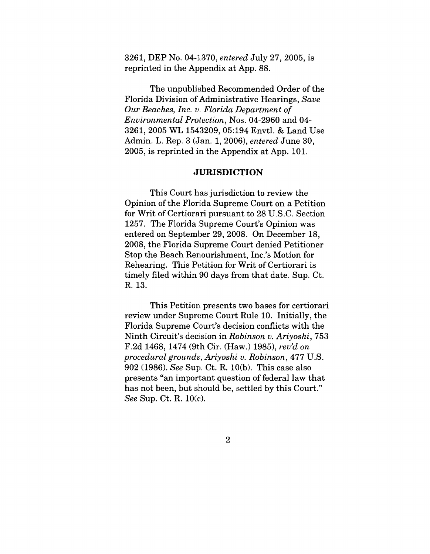3261, DEP No. 04-].370, *entered* July 27, 2005, is reprinted in the Appendix at App. 88.

The unpublished Recommended Order of the Florida Division of Administrative Hearings, *Save Our Beaches, Inc. v. Florida Department of Environmental Pro~ection,* Nos. 04-2960 and 04- 3261, 2005 WL 1543209, 05:194 Envtl. & Land Use Admin. L. Rep. 3 (Jan. 1, 2006), *entered* June 30, 2005, is reprinted in the Appendix at App. 101.

#### **JURISDICTION**

This Court has jurisdiction to review the Opinion of the Florida Supreme Court on a Petition for Writ of Certiorari pursuant to 28 U.S.C. Section 1257. The Florida Supreme Court's Opinion was entered on September 29, 2008. On December 18, 2008, the Florida Supreme Court denied Petitioner Stop the Beach Renourishment, Inc.'s Motion for Rehearing. This Petition for Writ of Certiorari is timely filed within 90 days from that date. Sup. Ct. R. 13.

This Petition presents two bases for certiorari review under Supreme Court Rule 10. Initially, the Florida Supreme Court's decision conflicts with the Ninth Circuit's decision in *Robinson v. Ariyoshi,* 753 F.2d 1468, 1474 (9th Cir. (Haw.) 1985), *rev'd on procedural ground~', Ariyoshi v. Robinson,* 477 U.S. 902 (1986). *See* Sup. Ct. R. 10(b). This case also presents "an important question of federal law that has not been, but should be, settled by this Court." *See* Sup. Ct. R. 10(c).

 $\overline{2}$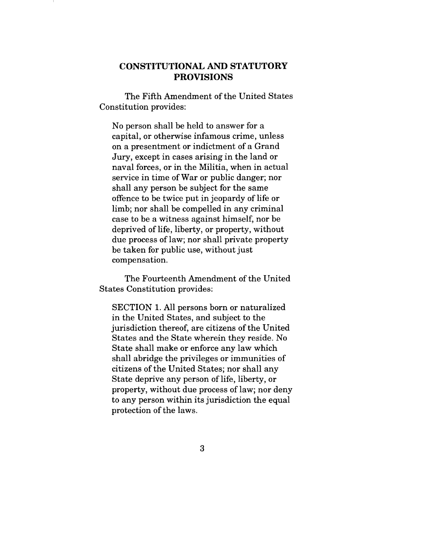## CONSTITUTIONAL AND STATUTORY **PROVISIONS**

The Fifth Amendment of the United States Constitution provides:

No person shall be held to answer for a capital, or otherwise infamous crime, unless on a presentment or indictment of a Grand Jury, except in cases arising in the land or naval forces, or in the Militia, when in actual service in time of War or public danger; nor shall any person be subject for the same offence to be twice put in jeopardy of life or limb; nor shall be compelled in any criminal case to be a witness against himself, nor be deprived of life, liberty, or property, without due process of law; nor shall private property be taken for public use, without just compensation.

The Fourteenth Amendment of the United States Constitution provides:

SECTION 1. All persons born or naturalized in the United States, and subject to the jurisdiction thereof, are citizens of the United States and the State wherein they reside. No State shall make or enforce any law which shall abridge the privileges or immunities of citizens of the United States; nor shall any State deprive any person of life, liberty, or property, without due process of law; nor deny to any person within its jurisdiction the equal protection of the laws.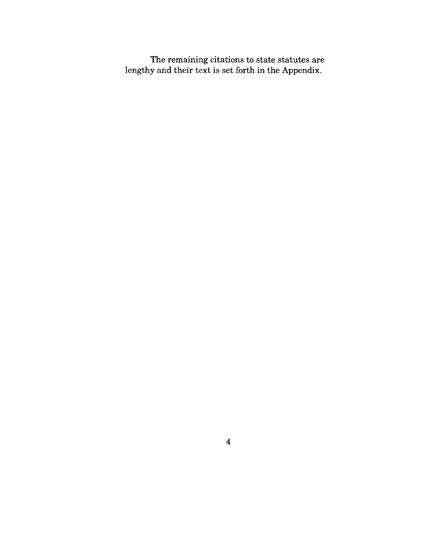The remaining citations to state statutes are lengthy and their text is set forth in the Appendix.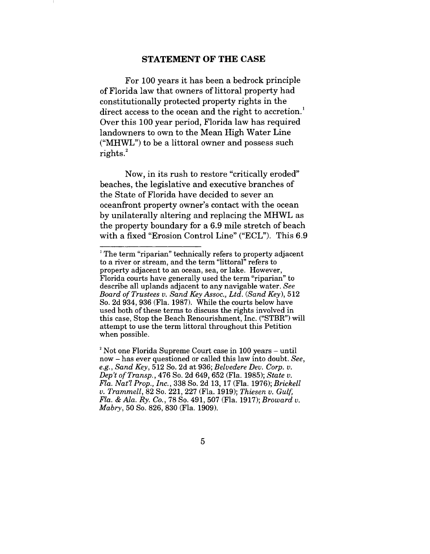### **STATEMENT OF THE CASE**

For 100 years it has been a bedrock principle of Florida law that owners of littoral property had constitutionally protected property rights in the direct access to the ocean and the right to accretion.<sup>1</sup> Over this 100 year period, Florida law has required landowners to own to the Mean High Water Line ("MHWL") to be a littoral owner and possess such rights. $^{2}$ 

Now, in its rush to restore "critically eroded" beaches, the legislative and executive branches of the State of Florida have decided to sever an oceanfront property owner's contact with the ocean by unilaterally altering and replacing the MHWL as the property boundary for a 6.9 mile stretch of beach with a fixed "Erosion Control Line" ("ECL"). This 6.9

<sup>&</sup>lt;sup>1</sup> The term "riparian" technically refers to property adjacent to a river or stream, and the term "littoral" refers to property adjacent to an ocean, sea, or lake. However, Florida courts have generally used the term "riparian" to describe all uplands adjacent to any navigable water. *See Board of Trustees v. Sand Key Assoc., Ltd. (Sand Key),* 512 So. 2d 934, 936 (Fla. 1987). While the courts below have used both of these terms to discuss the rights involved in this case, Stop the Beach Renourishment, Inc. ("STBR") will attempt to use the term littoral throughout this Petition when possible.

 $2$  Not one Florida Supreme Court case in 100 years  $-$  until now - has ever questioned or called this law into doubt. *See, e.g., Sand Key,* 512 So. 2d at 936; *Belvedere Dev. Corp. v. Dep't of Transp.,* 476 So. 2d 649, 652 (Fla. 1985); *State v. Fla. Nat'l Prop., Inc.,* 338 So. 2d 13, 17 (Fla. 1976); *Brickell v. Trammell,* 82 So. 221,227 (Fla. 1919); *Thiesen v. Gulf, Fla. & Ala. Ry. Co.,* 78 So. 491,507 (Fla. 1917); *Broward v. Mabry,* 50 So. 826, 830 (Fla. 1909).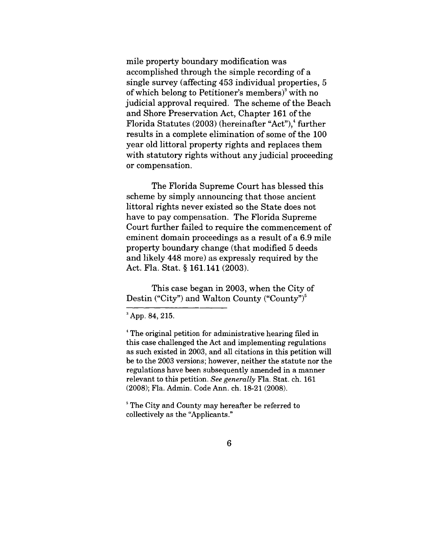mile property boundary modification was accomplished through the simple recording of a single survey (affecting 453 individual properties, 5 of which belong to Petitioner's members)<sup>3</sup> with no judicial approval required. The scheme of the Beach and Shore Preservation Act, Chapter 161 of the Florida Statutes  $(2003)$  (hereinafter "Act"), further results in a complete elimination of some of the 100 year old littoral property rights and replaces them with statutory rights without any judicial proceeding or compensation.

The Florida Supreme Court has blessed this scheme by simply announcing that those ancient littoral rights never existed so the State does not have to pay compensation. The Florida Supreme Court further failed to require the commencement of eminent domain proceedings as a result of a 6.9 mile property boundary change (that modified 5 deeds and likely 448 more) as expressly required by the Act. Fla. Stat. § 161.141 (2003).

This case began in 2003, when the City of Destin ("City") and Walton County ("County")<sup>5</sup>

<sup>5</sup> The City and County may hereafter be referred to collectively as the "Applicants."

<sup>&</sup>lt;sup>3</sup> App. 84, 215.

<sup>&</sup>lt;sup>4</sup> The original petition for administrative hearing filed in this case challenged the Act and implementing regulations as such existed in 2003, and all citations in this petition will be to the 2003 versions; however, neither the statute nor the regulations have been subsequently amended in a manner relevant to this petition. *See generally* Fla. Stat. ch. 161 (2008); Fla. Admin. Code Ann. ch. 18-21 (2008).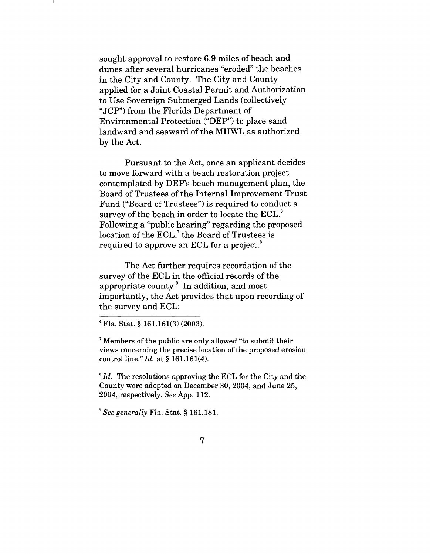sought approval to restore 6.9 miles of beach and dunes after several hurricanes "eroded" the beaches in the City and County. The City and County applied for a Joint Coastal Permit and Authorization to Use Sovereign Submerged Lands (collectively "JCP") from the Florida Department of Environmental Protection ("DEP") to place sand landward and seaward of the MHWL as authorized by the Act.

Pursuant to the Act, once an applicant decides to move forward with a beach restoration project contemplated by DEP's beach management plan, the Board of Trustees of the Internal Improvement Trust Fund ("Board of Trustees") is required to conduct a survey of the beach in order to locate the ECL.<sup>6</sup> Following a "public hearing" regarding the proposed location of the ECL,<sup>7</sup> the Board of Trustees is required to approve an ECL for a project.<sup>8</sup>

The Act further requires recordation of the survey of the ECL in the official records of the appropriate county.9 In addition, and most importantly, the Act provides that upon recording of the survey and ECL:

7 Members of the public are only allowed "to submit their views concerning the precise location of the proposed erosion control line." *Id.* at § 161.161(4).

*8 Id.* The resolutions approving the ECL for the City and the County were adopted on December 30, 2004, and June 25, 2004, respectively. *See* App. 112.

*9See generally* Fla. Stat. § 161.181.

Fla. Stat. § 161.161(3) (2003).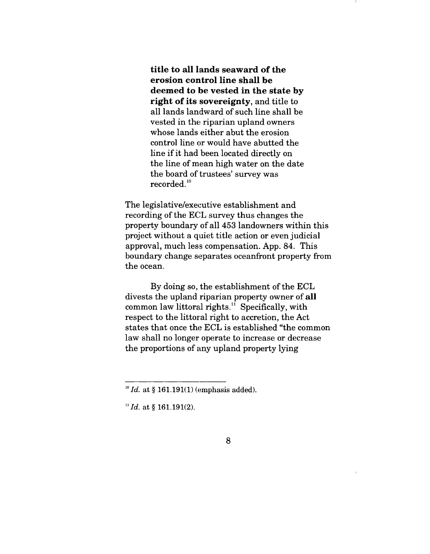**title to all lands seaward of the erosion control line shall be deemed to be vested in the state by right of its sovereignty,** and title to all lands landward of such line shall be vested in the riparian upland owners whose lands either abut the erosion control line or would have abutted the line if it had been located directly on the line of mean high water on the date the board of trustees' survey was  $recorded.<sup>10</sup>$ 

The legislative/executive establishment and recording of the ECL survey thus changes the property boundary of all 453 landowners within this project without a quiet title action or even judicial approval, much less compensation. App. 84. This boundary change separates oceanfront property from the ocean.

By doing so, the establishment of the ECL divests the upland riparian property owner of **all** common law littoral rights. $11$  Specifically, with respect to the littoral right to accretion, the Act states that once the ECL is established "the common law shall no longer operate to increase or decrease the proportions of any upland property lying

*<sup>~°</sup>Id.* at § 161.191(1) (emphasis added).

<sup>&</sup>lt;sup>11</sup> Id. at § 161.191(2).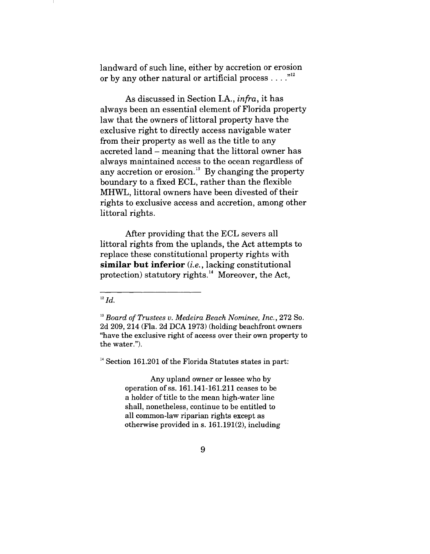landward of such line, either by accretion or erosion or by any other natural or artificial process  $\dots$ ."<sup>12</sup>

As discussed in Section I.A., *infra,* it has always been an essential element of Florida property law that the owners of littoral property have the exclusive right to directly access navigable water from their property as well as the title to any accreted land - meaning that the littoral owner has always maintained access to the ocean regardless of any accretion or erosion.<sup>13</sup> By changing the property boundary to a fixed ECL, rather than the flexible MHWL, littoral owners have been divested of their rights to exclusive access and accretion, among other littoral rights.

After providing that the ECL severs all littoral rights from the uplands, the Act attempts to replace these constitutional property rights with **similar but inferior** *(i.e.,* lacking constitutional protection) statutory rights. $^{14}$  Moreover, the Act,

 $^{12}$  Id.

 $14$  Section 161.201 of the Florida Statutes states in part:

Any upland owner or lessee who by operation of ss. 161.141-161.211 ceases to be a holder of title to the mean high-water line shall, nonetheless, continue to be entitled to all common-law riparian rights except as otherwise provided in s. 161.191(2), including

*<sup>13</sup> Board of Trustees v. Medeira Beach Nominee, Inc.,* 272 So. 2d 209, 214 (Fla. 2d DCA 1973) (holding beachfront owners "have the exclusive right of access over their own property to the water.").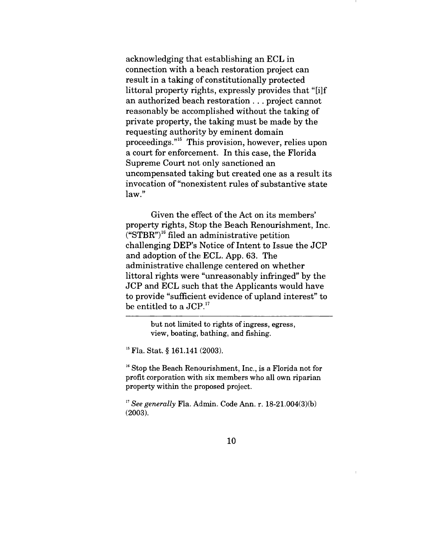acknowledging that establishing an ECL in connection with a beach restoration project can result in a taking of constitutionally protected littoral property rights, expressly provides that "[i]f an authorized beach restoration.., project cannot reasonably be accomplished without the taking of private property, the taking must be made by the requesting authority by eminent domain proceedings."15 This provision, however, relies upon a court for enforceraent. In this case, the Florida Supreme Court not only sanctioned an uncompensated taking but created one as a result its invocation of "nonexistent rules of substantive state law."

Given the effect of the Act on its members' property rights, Stop the Beach Renourishment, Inc.  $(TSTR<sup>n</sup>)<sup>16</sup>$  filed an administrative petition challenging DEP's Notice of Intent to Issue the JCP and adoption of the ECL. App. 63. The administrative challenge centered on whether littoral rights were "unreasonably infringed" by the JCP and ECL such that the Applicants would have to provide "sufficient evidence of upland interest" to be entitled to a JCP.<sup>17</sup>

> but not limited to rights of ingress, egress, view, boating, bathing, and fishing.

<sup>15</sup> Fla. Stat. § 161.141 (2003).

 $<sup>16</sup>$  Stop the Beach Renourishment, Inc., is a Florida not for</sup> profit corporation with six members who all own riparian property within the proposed project.

<sup>17</sup> See generally **Fla.** Admin. Code Ann. r. 18-21.004(3)(b) (20O3).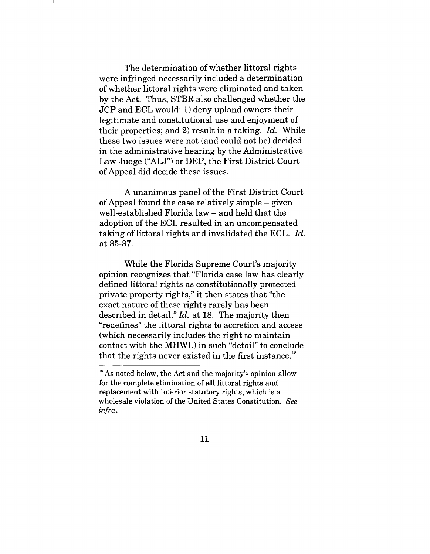The determination of whether littoral rights were infringed necessarily included a determination of whether littoral rights were eliminated and taken by the Act. Thus, STBR also challenged whether the JCP and ECL would: 1) deny upland owners their legitimate and constitutional use and enjoyment of their properties; and 2) result in a taking. *Id.* While these two issues were not (and could not be) decided in the administrative hearing by the Administrative Law Judge ("ALJ") or DEP, the First District Court of Appeal did decide these issues.

A unanimous panel of the First District Court of Appeal found the case relatively simple  $-$  given well-established Florida law – and held that the adoption of the ECL resulted in an uncompensated taking of littoral rights and invalidated the ECL. *Id.* at 85-87.

While the Florida Supreme Court's majority opinion recognizes that "Florida case law has clearly defined littoral rights as constitutionally protected private property rights," it then states that "the exact nature of these rights rarely has been described in detail." *Id.* at 18. The majority then "redefines" the littoral rights to accretion and access (which necessarily includes the right to maintain contact with the MHWL) in such "detail" to conclude that the rights never existed in the first instance.<sup>18</sup>

 $18$  As noted below, the Act and the majority's opinion allow for the complete elimination of all littoral rights and replacement with inferior statutory rights, which is a wholesale violation of the United States Constitution. *See infra.*

<sup>11</sup>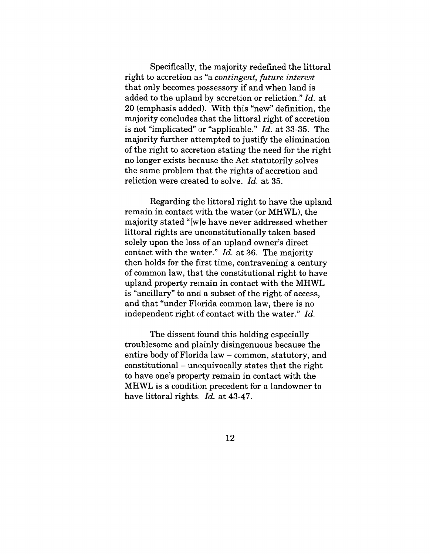Specifically, the majority redefined the littoral right to accretion as "a *contingent, future interest* that only becomes possessory if and when land is added to the upland by accretion or reliction." *Id.* at 20 (emphasis added). With this "new" definition, the majority concludes that the littoral right of accretion is not "implicated" or "applicable." *Id.* at 33-35. The majority further attempted to justify the elimination of the right to accretion stating the need for the right no longer exists because the Act statutorily solves the same problem that the rights of accretion and reliction were created to solve. *Id.* at 35.

Regarding the littoral right to have the upland remain in contact with the water (or MHWL), the majority stated "[w]e have never addressed whether littoral rights are unconstitutionally taken based solely upon the loss of an upland owner's direct contact with the water." *Id.* at 36. The majority then holds for the first time, contravening a century of common law, that the constitutional right to have upland property remain in contact with the MHWL is "ancillary" to and a subset of the right of access, and that "under Florida common law, there is no independent right of contact with the water." *Id.*

The dissent found this holding especially troublesome and plainly disingenuous because the entire body of Florida law – common, statutory, and constitutional - unequivocally states that the right to have one's property remain in contact with the MHWL is a condition precedent for a landowner to have littoral rights. *Id.* at 43-47.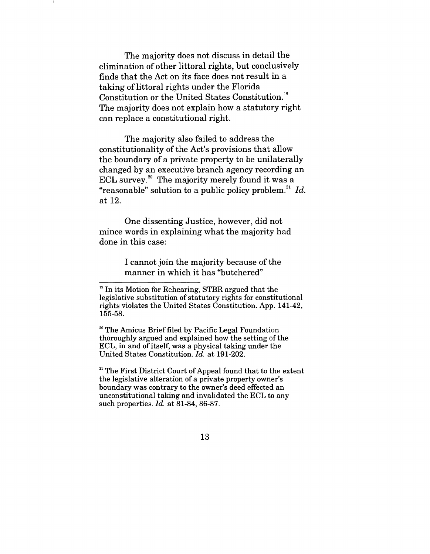The majority does not discuss in detail the elimination of other littoral rights, but conclusively finds that the Act on its face does not result in a taking of littoral rights under the Florida Constitution or the United States Constitution.<sup>19</sup> The majority does not explain how a statutory right can replace a constitutional right.

The majority also failed to address the constitutionality of the Act's provisions that allow the boundary of a private property to be unilaterally changed by an executive branch agency recording an ECL survey. $20$  The majority merely found it was a "reasonable" solution to a public policy problem.<sup>21</sup>  $Id$ . at 12.

One dissenting Justice, however, did not mince words in explaining what the majority had done in this case:

> I cannot join the majority because of the manner in which it has "butchered"

20 The Amicus Brief filed by Pacific Legal Foundation thoroughly argued and explained how the setting of the ECL, in and of itself, was a physical taking under the United States Constitution. *Id.* at 191-202.

 $21$ <sup>21</sup> The First District Court of Appeal found that to the extent the legislative alteration of a private property owner's boundary was contrary to the owner's deed effected an unconstitutional taking and invalidated the ECL to any such properties. *Id.* at 81-84, 86-87.

<sup>&</sup>lt;sup>19</sup> In its Motion for Rehearing, STBR argued that the legislative substitution of statutory rights for constitutional rights violates the United States Constitution. App. 141-42, 155-58.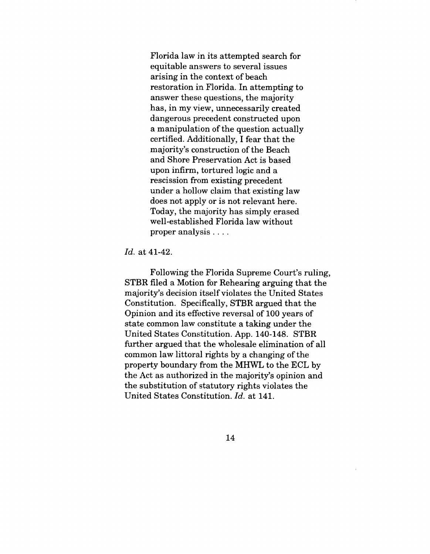Florida law in its attempted search for equitable answers to several issues arising in the context of beach restoration in Florida. In attempting to answer these questions, the majority has, in my view, unnecessarily created dangerous precedent constructed upon a manipulation of the question actually certified. Additionally, I fear that the majority's construction of the Beach and Shore Preservation Act is based upon infirm, tortured logic and a rescission from existing precedent under a hollow claim that existing law does not apply or is not relevant here. Today, the majority has simply erased well-established Florida law without proper analysis ....

#### *Id.* at 41-42.

Following the Florida Supreme Court's ruling, STBR filed a Motion for Rehearing arguing that the majority's decision itself violates the United States Constitution. Specifically, STBR argued that the Opinion and its effective reversal of 100 years of state common law constitute a taking under the United States Constitution. App. 140-148. STBR further argued that the wholesale elimination of all common law littoral rights by a changing of the property boundary from the MHWL to the ECL by the Act as authorized in the majority's opinion and the substitution of statutory rights violates the United States Constitution. *Id.* at 141.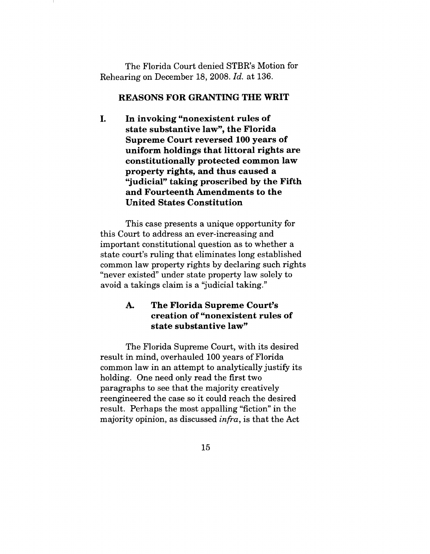The Florida Court denied STBR's Motion for Rehearing on December 18, 2008. *Id.* at 136.

### **REASONS FOR GRANTING THE WRIT**

L. **In invoking "nonexistent rules of state substantive law", the Florida Supreme Court reversed 100 years of uniform holdings that littoral rights are constitutionally protected common law property rights, and thus caused a "judicial" taking proscribed by the Fifth and Fourteenth Amendments to the United States Constitution**

This case presents a unique opportunity for this Court to address an ever-increasing and important constitutional question as to whether a state court's ruling that eliminates long established common law property rights by declaring such rights "never existed" under state property law solely to avoid a takings claim is a "judicial taking."

### **Ao The Florida Supreme Court's creation of "nonexistent rules of state substantive law"**

The Florida Supreme Court, with its desired result in mind, overhauled 100 years of Florida common law in an attempt to analytically justify its holding. One need only read the first two paragraphs to see that the majority creatively reengineered the case so it could reach the desired result. Perhaps the most appalling "fiction" in the majority opinion, as discussed *infra,* is that the Act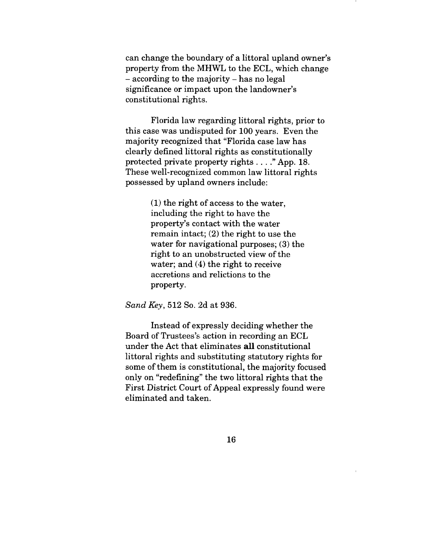can change the boundary of a littoral upland owner's property from the MHWL to the ECL, which change **-** according to the majority - has no legal significance or impact upon the landowner's constitutional rights.

Florida law regarding littoral rights, prior to this case was undisputed for 100 years. Even the majority recognized that "Florida case law has clearly defined littoral rights as constitutionally protected private property rights .... "App. 18. These well-recognized common law littoral rights possessed by upland owners include:

> (1) the right of access to the water, including the right to have the property's contact with the water remain intact; (2) the right to use the water for navigational purposes; (3) the right to an unobstructed view of the water; and (4) the right to receive accretions and relictions to the property.

*Sand Key,* 512 So. 2d at 936.

Instead of expressly deciding whether the Board of Trustees's action in recording an ECL under the Act that eliminates all constitutional littoral rights and substituting statutory rights for some of them is constitutional, the majority focused only on "redefining" the two littoral rights that the First District Court of Appeal expressly found were eliminated and taken.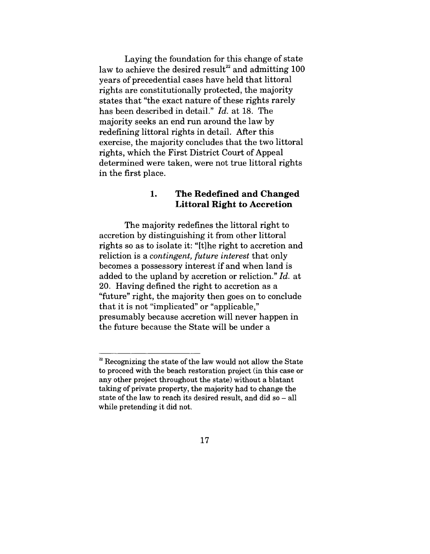Laying the foundation for this change of state law to achieve the desired result<sup>22</sup> and admitting 100 years of precedential cases have held that littoral rights are constitutionally protected, the majority states that "the exact nature of these rights rarely has been described in detail." *Id.* at 18. The majority seeks an end run around the law by redefining littoral rights in detail. After this exercise, the majority concludes that the two littoral rights, which the First District Court of Appeal determined were taken, were not true littoral rights in the first place.

#### 1. **The Redefined and Changed Littoral Right to Accretion**

The majority redefines the littoral right to accretion by distinguishing it from other littoral rights so as to isolate it: "[t]he right to accretion and reliction is a *contingent, future interest* that only becomes a possessory interest if and when land is added to the upland by accretion or reliction." *Id.* at 20. Having defined the right to accretion as a "future" right, the majority then goes on to conclude that it is not "implicated" or "applicable," presumably because accretion will never happen in the future because the State will be under a

 $22$ <sup>22</sup> Recognizing the state of the law would not allow the State to proceed with the beach restoration project (in this case or any other project throughout the state) without a blatant taking of private property, the majority had to change the state of the law to reach its desired result, and did so  $-$  all while pretending it did not.

<sup>17</sup>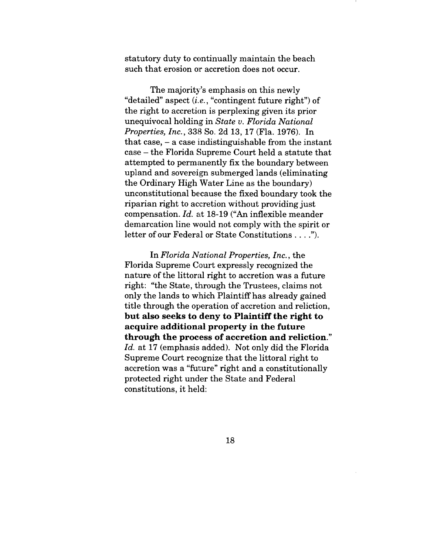statutory duty to continually maintain the beach such that erosion or accretion does not occur.

The majority's emphasis on this newly "detailed" aspect *(i.e.,* "contingent future right") of the right to accretion is perplexing given its prior unequivocal holding in *State v. Florida National Properties, Inc.,* 338 So. 2d 13, 17 (Fla. 1976). In that case,  $-$  a case indistinguishable from the instant case - the Florida Supreme Court held a statute that attempted to permanently fix the boundary between upland and sovereign submerged lands (eliminating the Ordinary High Water Line as the boundary) unconstitutional because the fixed boundary took the riparian right to accretion without providing just compensation. *Id.* at 18-19 ("An inflexible meander demarcation line would not comply with the spirit or letter of our Federal or State Constitutions .... ").

In *Florida National Properties, Inc.,* the Florida Supreme Court expressly recognized the nature of the littoral right to accretion was a future right: "the State, through the Trustees, claims not only the lands to which Plaintiff has already gained title through the operation of accretion and reliction, **but also seeks to deny to Plaintiff the right to acquire additional property in the future through the process of accretion and reliction."** *Id.* at 17 (emphasis added). Not only did the Florida Supreme Court recognize that the littoral right to accretion was a "future" right and a constitutionally protected right under the State and Federal constitutions, it held: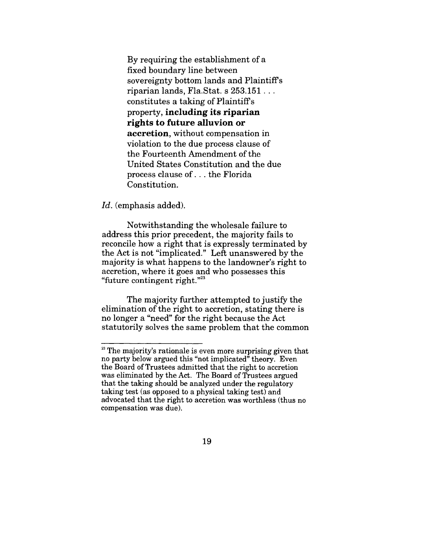By requiring the establishment of a fixed boundary line between sovereignty bottom lands and Plaintiffs riparian lands, Fla.Stat. s 253.151... constitutes a taking of Plaintiffs property, **including its riparian rights to future alluvion or accretion,** without compensation in violation to the due process clause of the Fourteenth Amendment of the United States Constitution and the due process clause of... the Florida Constitution.

Id. (emphasis added).

Notwithstanding the wholesale failure to address this prior precedent, the majority fails to reconcile how a right that is expressly terminated by the Act is not "implicated." Left unanswered by the majority is what happens to the landowner's right to accretion, where it goes and who possesses this "future contingent right." $^{23}$ 

The majority further attempted to justify the elimination of the right to accretion, stating there is no longer a "need" for the right because the Act statutorily solves the same problem that the common

 $33$  The majority's rationale is even more surprising given that no party below argued this "not implicated" theory. Even the Board of Trustees admitted that the right to accretion was eliminated by the Act. The Board of Trustees argued that the taking should be analyzed under the regulatory taking test (as opposed to a physical taking test) and advocated that the right to accretion was worthless (thus no compensation was due).

<sup>19</sup>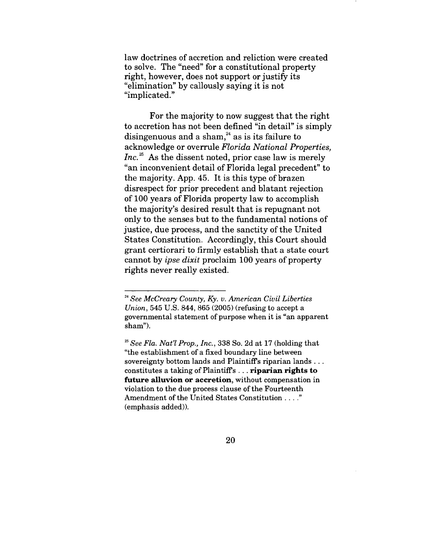law doctrines of accretion and reliction were created to solve. The "need" for a constitutional property right, however, does not support or justify its "elimination" by callously saying it is not "implicated."

For the majority to now suggest that the right to accretion has not been defined "in detail" is simply disingenuous and a sham, $^{24}$  as is its failure to acknowledge or overrule *Florida National Properties, Inc.*<sup>25</sup> As the dissent noted, prior case law is merely "an inconvenient detail of Florida legal precedent" to the majority. App. 45. It is this type of brazen disrespect for prior precedent and blatant rejection of 100 years of Florida property law to accomplish the majority's desired result that is repugnant not only to the senses but to the fundamental notions of justice, due process, and the sanctity of the United States Constitution. Accordingly, this Court should grant certiorari to firmly establish that a state court cannot by *ipse dixit* proclaim 100 years of property rights never really existed.

*<sup>24</sup> See McCreary County, Ky. v. American Civil Liberties Union,* 545 U.S. 844, 865 (2005) (refusing to accept a governmental statement of purpose when it is "an apparent sham").

*<sup>2~</sup> See Fla. Nat'l Prop., Inc.,* 338 So. 2d at 17 (holding that "the establishment of a fixed boundary line between sovereignty bottom lands and Plaintiff's riparian lands... constitutes a taking of Plaintiffs... **riparian rights to** future alluvion or accretion, without compensation in violation to the due process clause of the Fourteenth Amendment of the United States Constitution ...." (emphasis added)).

<sup>20</sup>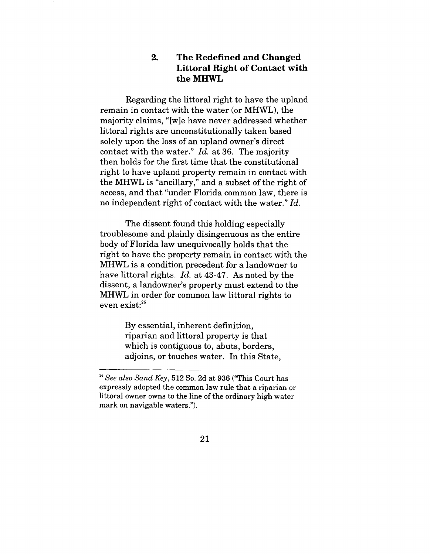#### $2.$ **The Redefined and Changed Littoral Right of Contact with the MHWL**

Regarding the littoral right to have the upland remain in contact with the water (or MHWL), the majority claims, "[w]e have never addressed whether littoral rights are unconstitutionally taken based solely upon the loss of an upland owner's direct contact with the water." *Id.* at 36. The majority then holds for the first time that the constitutional right to have upland property remain in contact with the MHWL is "ancillary," and a subset of the right of access, and that "under Florida common law, there is no independent right of contact with the water." *Id.*

The dissent found this holding especially troublesome and plainly disingenuous as the entire body of Florida law unequivocally holds that the right to have the property remain in contact with the MHWL is a condition precedent for a landowner to have littoral rights. *Id.* at 43-47. As noted by the dissent, a landowner's property must extend to the MHWL in order for common law littoral rights to even  $exist:^{26}$ 

> By essential, inherent definition, riparian and littoral property is that which is contiguous to, abuts, borders, adjoins, or touches water. In this State,

*<sup>26</sup> See also Sand Key,* 512 So. 2d at 936 ("This Court has expressly adopted the common law rule that a riparian or littoral owner owns to the line of the ordinary high water mark on navigable waters.").

<sup>21</sup>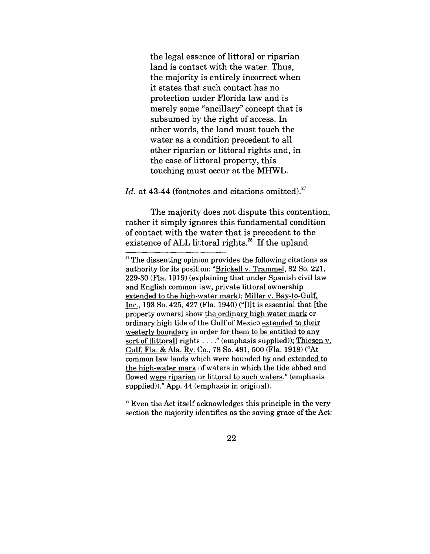the legal essence of littoral or riparian land is contact with the water. Thus, the majority is entirely incorrect when it states that such contact has no protection under Florida law and is merely some "ancillary" concept that is subsumed by the right of access. In other words, the land must touch the water as a condition precedent to all other riparian or littoral rights and, in the case of littoral property, this touching must occur at the MHWL.

## *Id.* at 43-44 (footnotes and citations omitted).<sup>27</sup>

The majority does not dispute this contention; rather it simply ignores this fundamental condition of contact with the water that is precedent to the existence of ALL littoral rights. $^{28}$  If the upland

 $28$  Even the Act itself acknowledges this principle in the very section the majority identifies as the saving grace of the Act:

 $27$  The dissenting opinion provides the following citations as authority for its position: "Brickell v. Trammel, 82 So. 221, 229-30 (Fla. 1919) (explaining that under Spanish civil law and English common law, private littoral ownership extended to the high-water mark); Miller v. Bay-to-Gulf, Inc., 193 So. 425, 427 (Fla. 1940) ("[I]t is essential that [the property owners] show the ordinary, high water mark or ordinary high tide of the Gulf of Mexico extended to their westerly boundary in order for them to be entitled to any sort of [littoral] rights . . . . " (emphasis supplied)); Thiesen v. Gulf, Fla. & Ala. Ry. Co., 78 So. 491, 500 (Fla. 1918) ("At common law lands which were bounded by and extended to the high-water mark of waters in which the tide ebbed and flowed were riparian or littoral to such waters." (emphasis supplied))." App. 44 (emphasis in original).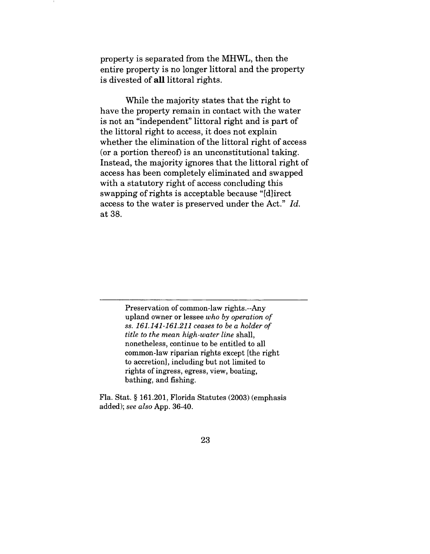property is separated from the MHWL, then the entire property is no longer littoral and the property is divested of all littoral rights.

While the majority states that the right to have the property remain in contact with the water is not an "independent" littoral right and is part of the littoral right to access, it does not explain whether the elimination of the littoral right of access (or a portion thereof) is an unconstitutional taking. Instead, the majority ignores that the littoral right of access has been completely eliminated and swapped with a statutory right of access concluding this swapping of rights is acceptable because "[d]irect access to the water is preserved under the Act." *Id.* at 38.

> Preservation of common-law rights.--Any upland owner or lessee *who by operation of ss. 161.141-161.211 ceases to be a holder of title to the mean high-water line* shall, nonetheless, continue to be entitled to all common-law riparian rights except [the right to accretion], including but not limited to rights of ingress, egress, view, boating, bathing, and fishing.

**Fla. Stat. § 161.201,** Florida Statutes (2003) (emphasis added); *see also* App. 36-40.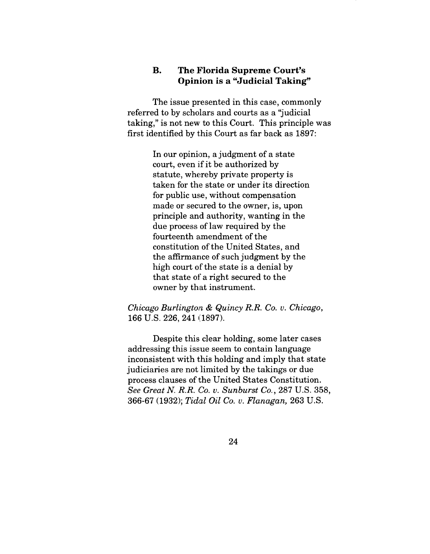## **B.** The Florida Supreme Court's **Opinion is a "Judicial Taking"**

The issue presented in this case, commonly referred to by scholars and courts as a "judicial taking," is not new to this Court. This principle was first identified by this Court as far back as 1897:

> In our opinion, a judgment of a state court, even if it be authorized by statute, whereby private property is taken for the state or under its direction for public use, without compensation made or secured to the owner, is, upon principle and authority, wanting in the due process of law required by the fourteenth amendment of the constitution of the United States, and the affirmance of such judgment by the high court of the state is a denial by that state of a right secured to the owner by that instrument.

*Chicago Burlington & Quincy R.R. Co. v. Chicago,* 166 U.S. 226, 241 (1897).

Despite this clear holding, some later cases addressing this issue seem to contain language inconsistent with this holding and imply that state judiciaries are not limited by the takings or due process clauses of the United States Constitution. *See Great N. R.R. Co. v. Sunburst Co.,* 287 U.S. 358, 366-67 (1932); *Tidal Oil Co. v. Flanagan,* 263 U.S.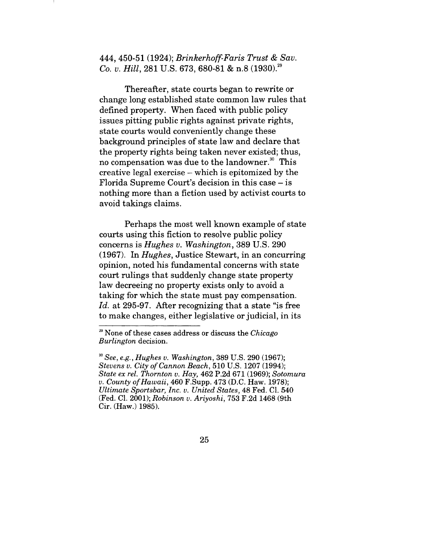444, 450-51 (1924); *Brinkerhoff-Faris Trust & Sav. Co. v. Hill,* 281 U.S. 673, 680-81 & n.8 (1930).<sup>29</sup>

Thereafter, state courts began to rewrite or change long established state common law rules that defined property. When faced with public policy issues pitting public rights against private rights, state courts would conveniently change these background principles of state law and declare that the property rights being taken never existed; thus, no compensation was due to the landowner. $30$  This creative legal exercise - which is epitomized by the Florida Supreme Court's decision in this case - is nothing more than a fiction used by activist courts to avoid takings claims.

Perhaps the most well known example of state courts using this fiction to resolve public policy concerns is *Hughes v. Washington,* 389 U.S. 290 (1967). In *Hughes,* Justice Stewart, in an concurring opinion, noted his fundamental concerns with state court rulings that suddenly change state property law decreeing no property exists only to avoid a taking for which the state must pay compensation. *Id.* at 295-97. After recognizing that a state "is free to make changes, either legislative or judicial, in its

<sup>59</sup> None of these cases address or discuss the *Chicago Burlington* decision.

*<sup>3</sup>o See, e.g., Hughes v. Washington,* 389 U.S. 290 (1967); *Stevens v. City of Cannon Beach,* 510 U.S. 1207 (1994); *State ex rel. Thornton v. Hay,* 462 P.2d 671 (1969); *Sotomura v. County of Hawaii,* 460 F.Supp. 473 (D.C. Haw. 1978); *Ultimate Sportsbar, Inc. v. United States,* 48 Fed. C1. 540 (Fed. C1. 2001); *Robinson v. Ariyoshi,* 753 F.2d 1468 (9th Cir. (Haw.) 1985).

<sup>25</sup>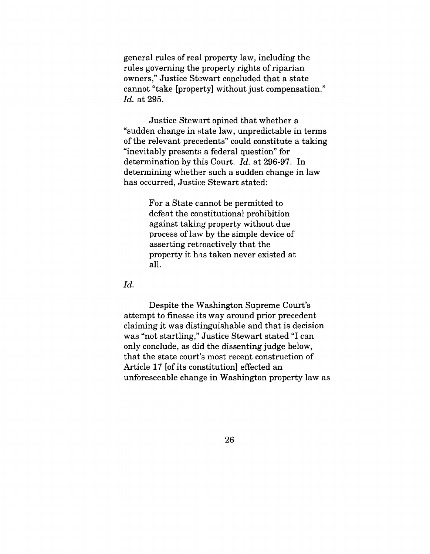general rules of real property law, including the rules governing the property rights of riparian owners," Justice Stewart concluded that a state cannot "take [property] without just compensation." *Id.* at 295.

Justice Stewart opined that whether a "sudden change in state law, unpredictable in terms of the relevant precedents" could constitute a taking "inevitably presents a federal question" for determination by this Court. *Id.* at 296-97. In determining whether such a sudden change in law has occurred, Justice Stewart stated:

> For a State cannot be permitted to defeat the constitutional prohibition against taking property without due process of law by the simple device of asserting retroactively that the property it has taken never existed at all.

 $Id.$ 

Despite the Washington Supreme Court's attempt to finesse its way around prior precedent claiming it was distinguishable and that is decision was "not startling," Justice Stewart stated "I can only conclude, as did the dissenting judge below, that the state court's most recent construction of Article 17 [of its constitution] effected an unforeseeable change in Washington property law as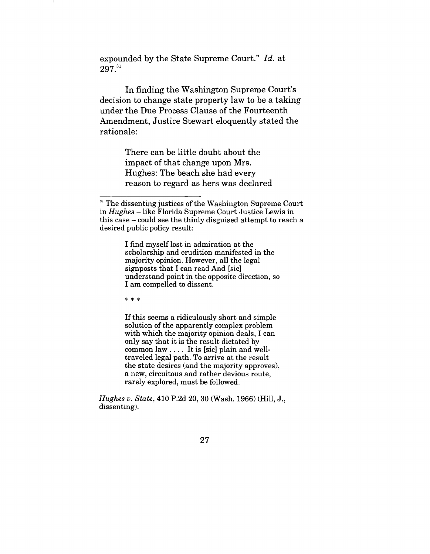expounded by the State Supreme Court." *Id.* at 297<sup>31</sup>

In finding the Washington Supreme Court's decision to change state property law to be a taking under the Due Process Clause of the Fourteenth Amendment, Justice Stewart eloquently stated the rationale:

> There can be little doubt about the impact of that change upon Mrs. Hughes: The beach she had every reason to regard as hers was declared

I find myself lost in admiration at the scholarship and erudition manifested in the majority opinion. However, all the legal signposts that I can read And [sic] understand point in the opposite direction, so I am compelled to dissent.

 $***$ 

If this seems a ridiculously short and simple solution of the apparently complex problem with which the majority opinion deals, I can only say that it is the result dictated by common law .... It is [sic] plain and welltraveled legal path. To arrive at the result the state desires (and the majority approves), a new, circuitous and rather devious route, rarely explored, must be followed.

*Hughes v. State,* 410 P.2d 20, 30 (Wash. 1966) (Hill, J., dissenting).

<sup>&</sup>lt;sup>31</sup> The dissenting justices of the Washington Supreme Court in *Hughes -* like Florida Supreme Court Justice Lewis in this case - could see the thinly disguised attempt to reach a desired public policy result:

<sup>27</sup>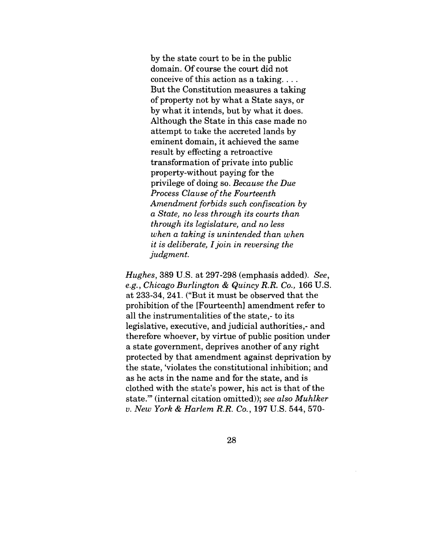by the state court to be in the public domain. Of course the court did not conceive of this action as a taking.... But the Constitution measures a taking of property not by what a State says, or by what it intends, but by what it does. Although the State in this case made no attempt to take the accreted lands by eminent domain, it achieved the same result by effecting a retroactive transformation of private into public property-without paying for the privilege of doing so. *Because the Due Process Clause of the Fourteenth Amendment forbids such confiscation by a State, no h:ss through its courts than through its legislature, and no less when a taking is unintended than when it is deliberate, I join in reversing the judgment.*

*Hughes,* 389 U.S. at 297-298 (emphasis added). *See, e.g., Chicago Burlington & Quincy R.R. Co.,* 166 U.S. at 233-34, 241. ("But it must be observed that the prohibition of the [Fourteenth] amendment refer to all the instrumentalities of the state,- to its legislative, executive, and judicial authorities, and therefore whoever, by virtue of public position under a state government, deprives another of any right protected by that amendment against deprivation by the state, 'violates the constitutional inhibition; and as he acts in the name and for the state, and is clothed with the state's power, his act is that of the state." (internal citation omitted)); *see also Muhlker v. New York & Harlem R.R. Co.,* 197 U.S. 544, 570-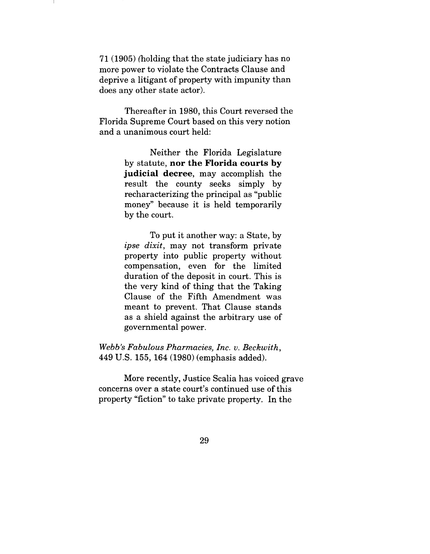71 (1905) (holding that the state judiciary has no more power to violate the Contracts Clause and deprive a litigant of property with impunity than does any other state actor).

Thereafter in 1980, this Court reversed the Florida Supreme Court based on this very notion and a unanimous court held:

> Neither the Florida Legislature by statute, **nor the Florida courts by** judicial decree, may accomplish the result the county seeks simply by recharacterizing the principal as "public money" because it is held temporarily by the court.

> To put it another way: a State, by *ipse dixit,* may not transform private property into public property without compensation, even for the limited duration of the deposit in court. This is the very kind of thing that the Taking Clause of the Fifth Amendment was meant to prevent. That Clause stands as a shield against the arbitrary use of governmental power.

*Webb's Fabulous Pharmacies, Inc. v. Beckwith,* 449 U.S. 155, 164 (1980) (emphasis added).

More recently, Justice Scalia has voiced grave concerns over a state court's continued use of this property "fiction" to take private property. In the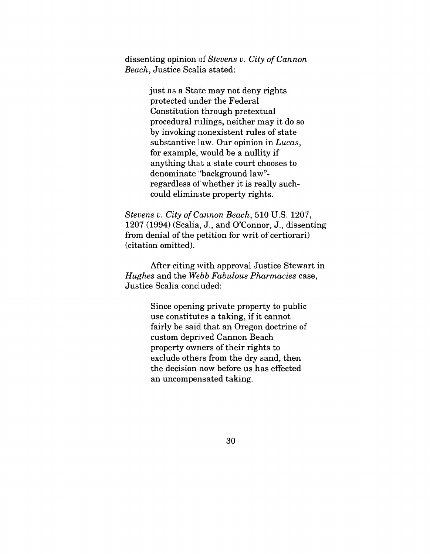dissenting opinion of *Stevens v. City of Cannon Beach,* Justice Scalia stated:

> just as a State may not deny rights protected under the Federal Constitution through pretextual procedural rulings, neither may it do so by invoking nonexistent rules of state substantive law. Our opinion in *Lucas,* for example, would be a nullity if anything that a state court chooses to denominate "background law" regardless of whether it is really suchcould eliminate property rights.

*Stevens v. City of Cannon Beach,* 510 U.S. 1207, 1207 (1994) (Scalia, J., and O'Connor, J., dissenting from denial of the petition for writ of certiorari) (citation omitted).

After citing with approval Justice Stewart in *Hughes* and the *Webb Fabulous Pharmacies* case, Justice Scalia concluded:

> Since opening private property to public use constitutes a taking, if it cannot fairly be said that an Oregon doctrine of custom deprived Cannon Beach property owners of their rights to exclude others from the dry sand, then the decision now before us has effected an uncompensated taking.

> > 3O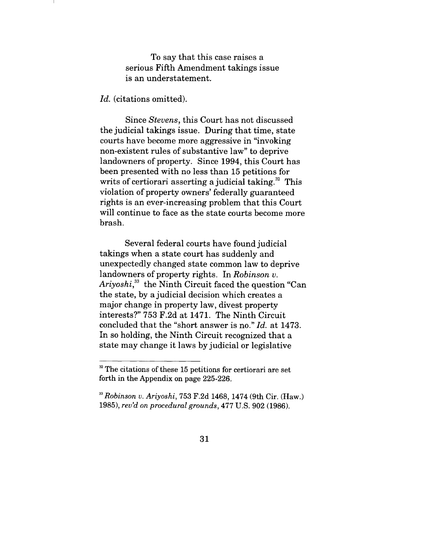To say that this case raises a serious Fifth Amendment takings issue is an understatement.

*Id.* (citations omitted).

Since *Stevens,* this Court has not discussed the judicial takings issue. During that time, state courts have become more aggressive in "invoking non-existent rules of substantive law" to deprive landowners of property. Since 1994, this Court has been presented with no less than 15 petitions for writs of certiorari asserting a judicial taking. $32$  This violation of property owners' federally guaranteed rights is an ever-increasing problem that this Court will continue to face as the state courts become more brash.

Several federal courts have found judicial takings when a state court has suddenly and unexpectedly changed state common law to deprive landowners of property rights. In *Robinson v.* Ariyoshi,<sup>33</sup> the Ninth Circuit faced the question "Can the state, by a judicial decision which creates a major change in property law, divest property interests?" 753 F.2d at 1471. The Ninth Circuit concluded that the "short answer is no." *Id.* at 1473. In so holding, the Ninth Circuit recognized that a state may change it laws by judicial or legislative

<sup>&</sup>lt;sup>32</sup> The citations of these 15 petitions for certiorari are set forth in the Appendix on page 225-226.

*<sup>23</sup> Robinson v. Ariyoshi,* 753 F.2d 1468, 1474 (9th Cir. (Haw.) 1985), *rev'd on procedural grounds,* 477 U.S. 902 (1986).

<sup>31</sup>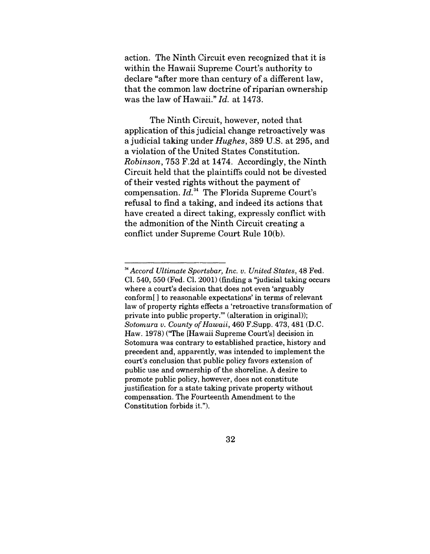action. The Ninth Circuit even recognized that it is within the Hawaii Supreme Court's authority to declare "after more than century of a different law, that the common law doctrine of riparian ownership was the law of Hawaii." *Id.* at 1473.

The Ninth Circuit, however, noted that application of this judicial change retroactively was a judicial taking under *Hughes,* 389 U.S. at 295, and a violation of the United States Constitution. *Robinson,* 753 F.2d at 1474. Accordingly, the Ninth Circuit held that the plaintiffs could not be divested of their vested rights without the payment of compensation. *Id.34* The Florida Supreme Court's refusal to find a taking, and indeed its actions that have created a direct taking, expressly conflict with the admonition of the Ninth Circuit creating a conflict under Supreme Court Rule 10(b).

*<sup>34</sup> Accord Ultimate Sportsbar, Inc. v. United States,* 48 Fed. C1. 540, 550 (Fed. C1. 2001) (finding a "judicial taking occurs where a court's decision that does not even 'arguably conform[ ] to reasonable expectations' in terms of relevant law of property rights effects a 'retroactive transformation of private into public property.'" (alteration in original)); *Sotomura v. County of Hawaii,* 460 F.Supp. 473, 481 (D.C. Haw. 1978) ("The [Hawaii Supreme Court's] decision in Sotomura was contrary to established practice, history and precedent and, apparently, was intended to implement the court's conclusion that public policy favors extension of public use and ownership of the shoreline. A desire to promote public policy, however, does not constitute justification for a state taking private property without compensation. The Fourteenth Amendment to the Constitution forbids it.").

<sup>32</sup>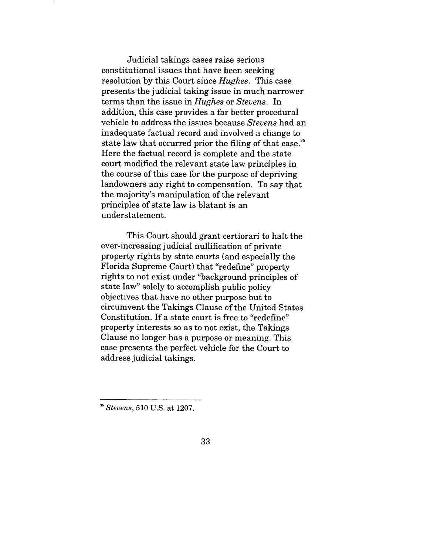Judicial takings cases raise serious constitutional issues that have been seeking resolution by this Court since *Hughes.* This case presents the judicial taking issue in much narrower terms than the issue in *Hughes* or *Stevens.* In addition, this case provides a far better procedural vehicle to address the issues because *Stevens* had an inadequate factual record and involved a change to state law that occurred prior the filing of that case.<sup>35</sup> Here the factual record is complete and the state court modified the relevant state law principles in the course of this case for the purpose of depriving landowners any right to compensation. To say that the majority's manipulation of the relevant principles of state law is blatant is an understatement.

This Court should grant certiorari to halt the ever-increasing judicial nullification of private property rights by state courts (and especially the Florida Supreme Court) that "redefine" property rights to not exist under "background principles of state law" solely to accomplish public policy objectives that have no other purpose but to circumvent the Takings Clause of the United States Constitution. If a state court is free to "redefine" property interests so as to not exist, the Takings Clause no longer has a purpose or meaning. This case presents the perfect vehicle for the Court to address judicial takings.

*Stevens,* 510 U.S. at 1207.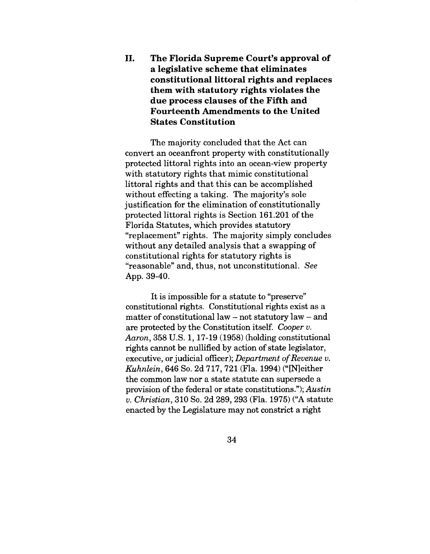II. **The Florida Supreme Court's approval of a legislative scheme that eliminates constitutional littoral rights and replaces them with statutory rights violates the due process clauses of the Fifth and Fourteenth. Amendments to the United States Constitution**

The majority concluded that the Act can convert an oceanfront property with constitutionally protected littoral rights into an ocean-view property with statutory rights that mimic constitutional littoral rights and that this can be accomplished without effecting a taking. The majority's sole justification for the elimination of constitutionally protected littoral rights is Section 161.201 of the Florida Statutes, which provides statutory "replacement" rights. The majority simply concludes without any detailed analysis that a swapping of constitutional rights for statutory rights is "reasonable" and, thus, not unconstitutional. *See* App. 39-40.

It is impossible for a statute to "preserve" constitutional rights. Constitutional rights exist as a matter of constitutional law  $-$  not statutory law  $-$  and are protected by the Constitution itself. *Cooper v. Aaron, 358 U.S. 1, 17-19 (1958) (holding constitutional* rights cannot be nullified by action of state legislator, executive, or judicial officer); *Department of Revenue v. Kuhnlein,* 646 So. 2d 717, 721 (Fla. 1994) (" [N] either the common law nor a state statute can supersede a provision of the federal or state constitutions."); *Austin v. Christian,* 310 So. 2d 289, 293 (Fla. 1975) ("A statute enacted by the Legislature may not constrict a right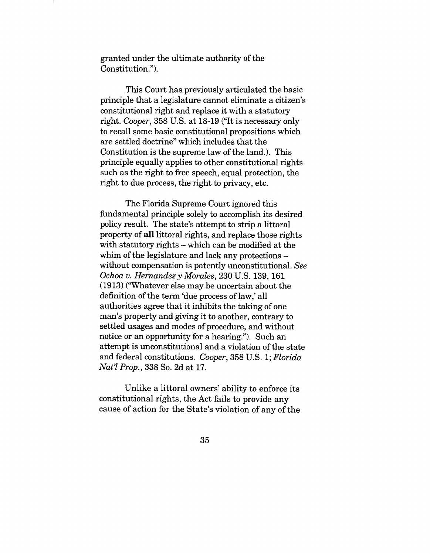granted under the ultimate authority of the Constitution.").

This Court has previously articulated the basic principle that a legislature cannot eliminate a citizen's constitutional right and replace it with a statutory right. *Cooper,* 358 U.S. at 18-19 ("It is necessary only to recall some basic constitutional propositions which are settled doctrine" which includes that the Constitution is the supreme law of the land.). This principle equally applies to other constitutional rights such as the right to free speech, equal protection, the right to due process, the right to privacy, etc.

The Florida Supreme Court ignored this fundamental principle solely to accomplish its desired policy result. The state's attempt to strip a littoral property of all littoral rights, and replace those rights with statutory rights – which can be modified at the whim of the legislature and lack any protections without compensation is patently unconstitutional. *See Ochoa v. Hernandez y Morales,* 230 U.S. 139, 161 (1913) ("Whatever else may be uncertain about the definition of the term 'due process of law,' all authorities agree that it inhibits the taking of one man's property and giving it to another, contrary to settled usages and modes of procedure, and without notice or an opportunity for a hearing."). Such an attempt is unconstitutional and a violation of the state and federal constitutions. *Cooper,* 358 U.S. 1; *Florida Nat'l Prop.,* 338 So. 2d at 17.

Unlike a littoral owners' ability to enforce its constitutional rights, the Act fails to provide any cause of action for the State's violation of any of the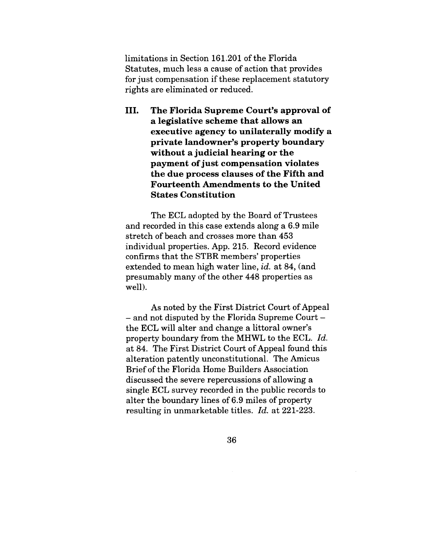limitations in Section 161.201 of the Florida Statutes, much less a cause of action that provides for just compensation if these replacement statutory rights are eliminated or reduced.

III. **The Florida Supreme Court's approval of a legislative scheme that allows an executive agency to unilaterally modify a private landowner's property boundary without a judicial hearing or the payment of just compensation violates the due process clauses of the Fifth and Fourteenth Amendments to the United States Constitution**

The ECL adopted by the Board of Trustees and recorded in this case extends along a 6.9 mile stretch of beach and crosses more than 453 individual properties. App. 215. Record evidence confirms that the STBR members' properties extended to mean high water line, *id.* at 84, (and presumably many of the other 448 properties as well).

As noted by the First District Court of Appeal - and not disputed by the Florida Supreme Court the ECL will alter and change a littoral owner's property boundary from the MHWL to the ECL. *Id.* at 84. The First District Court of Appeal found this alteration patently unconstitutional. The Amicus Brief of the Florida Home Builders Association discussed the severe repercussions of allowing a single ECL survey recorded in the public records to alter the boundary lines of 6.9 miles of property resulting in unmarketable titles. *Id.* at 221-223.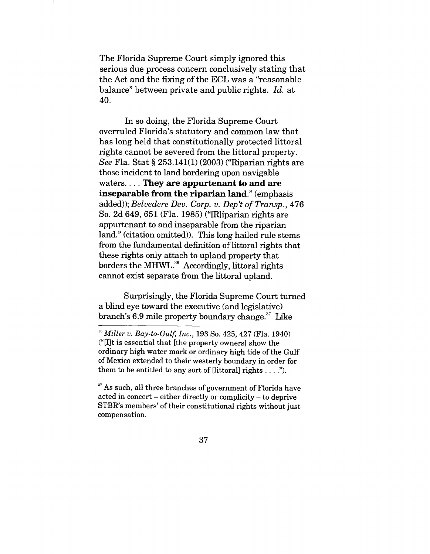The Florida Supreme Court simply ignored this serious due process concern conclusively stating that the Act and the fixing of the ECL was a "reasonable balance" between private and public rights. *Id.* at 40.

In so doing, the Florida Supreme Court overruled Florida's statutory and common law that has long held that constitutionally protected littoral rights cannot be severed from the littoral property. *See* Fla. Stat § 253.141(1) (2003) ("Riparian rights are those incident to land bordering upon navigable waters .... **They are appurtenant to and are inseparable from the riparian land."** (emphasis added)); *Belvedere Dev. Corp. v. Dep't of Transp.,* 476 So. 2d 649, 651 (Fla. 1985) ("[R]iparian rights are appurtenant to and inseparable from the riparian land." (citation omitted)). This long hailed rule stems from the fundamental definition of littoral rights that these rights only attach to upland property that borders the MHWL.<sup>36</sup> Accordingly, littoral rights cannot exist separate from the littoral upland.

Surprisingly, the Florida Supreme Court turned a blind eye toward the executive (and legislative) branch's  $6.9$  mile property boundary change.<sup>37</sup> Like

*36 Miller v. Bay-to-Gulf, Inc.,* 193 So. 425, 427 (Fla. 1940) ("[I]t is essential that [the property owners] show the ordinary high water mark or ordinary high tide of the Gulf of Mexico extended to their westerly boundary in order for them to be entitled to any sort of [littoral] rights  $\dots$ .").

<sup>37</sup> As such, all three branches of government of Florida have acted in concert - either directly or complicity - to deprive STBR's members' of their constitutional rights without just compensation.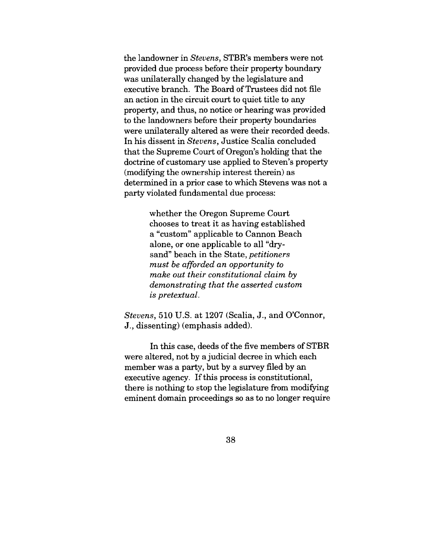the landowner in *Stevens,* STBR's members were not provided due process before their property boundary was unilaterally changed by the legislature and executive branch. The Board of Trustees did not file an action in the circuit court to quiet title to any property, and thus, no notice or hearing was provided to the landowners before their property boundaries were unilaterally altered as were their recorded deeds. In his dissent in *Stevens,* Justice Scalia concluded that the Supreme Court of Oregon's holding that the doctrine of customary use applied to Steven's property (modifying the ownership interest therein) as determined in a prior case to which Stevens was not a party violated fundamental due process:

> whether the Oregon Supreme Court chooses to treat it as having established a "custom" applicable to Cannon Beach alone, or one applicable to all "drysand" beach in the State, *petitioners must be afforded an opportunity to make out their constitutional claim by demonstrating that the asserted custom is pretextual.*

*Stevens,* 510 U.S. at 1207 (Scalia, J., and O'Connor, J., dissenting) (emphasis added).

In this case, deeds of the five members of STBR were altered, not by a judicial decree in which each member was a party, but by a survey filed by an executive agency. If this process is constitutional, there is nothing to stop the legislature from modifying eminent domain proceedings so as to no longer require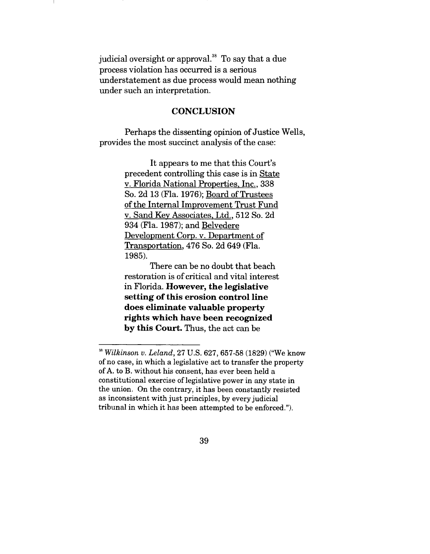judicial oversight or approval.<sup>38</sup> To say that a due process violation has occurred is a serious understatement as due process would mean nothing under such an interpretation.

### **CONCLUSION**

Perhaps the dissenting opinion of Justice Wells, provides the most succinct analysis of the case:

> It appears to me that this Court's precedent controlling this case is in State v. Florida National Properties, Inc., 338 So. 2d 13 (Fla. 1976); Board of Trustees of the Internal Improvement Trust Fund v. Sand Key Associates, Ltd., 512 So. 2d 934 (Fla. 1987); and Belvedere Development Corp. v. Department of Transportation, 476 So. 2d 649 (Fla. 1985).

> There can be no doubt that beach restoration is of critical and vital interest in Florida. However, the legislative setting of this erosion control line does eliminate valuable property rights which have been recognized by this Court. Thus, the act can be

*<sup>38</sup> Wilkinson v. Leland,* 27 U.S. 627,657-58 (1829) ("We know of no case, in which a legislative act to transfer the property of A. to B. without his consent, has ever been held a constitutional exercise of legislative power in any state in the union. On the contrary, it has been constantly resisted as inconsistent with just principles, by every judicial tribunal in which it has been attempted to be enforced.").

<sup>39</sup>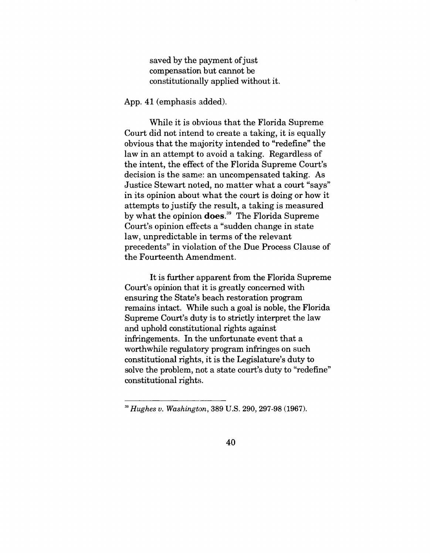saved by the payment of just compensation but cannot be constitutionally applied without it.

App. 41 (emphasis added).

While it is obvious that the Florida Supreme Court did not intend to create a taking, it is equally obvious that the majority intended to "redefine" the law in an attempt to avoid a taking. Regardless of the intent, the effect of the Florida Supreme Court's decision is the same: an uncompensated taking. As Justice Stewart noted, no matter what a court "says" in its opinion about, what the court is doing or how it attempts to justify the result, a taking is measured by what the opinion **does**.<sup>39</sup> The Florida Supreme Court's opinion effects a "sudden change in state law, unpredictable in terms of the relevant precedents" in violation of the Due Process Clause of the Fourteenth Amendment.

It is further apparent from the Florida Supreme Court's opinion that it is greatly concerned with ensuring the State's beach restoration program remains intact. While such a goal is noble, the Florida Supreme Court's duty is to strictly interpret the law and uphold constitutional rights against infringements. In the unfortunate event that a worthwhile regulatory program infringes on such constitutional rights, it is the Legislature's duty to solve the problem, not a state court's duty to "redefine" constitutional rights.

*Hughes v. Washington,* 389 U.S. 290, 297-98 (1967).

<sup>4</sup>O